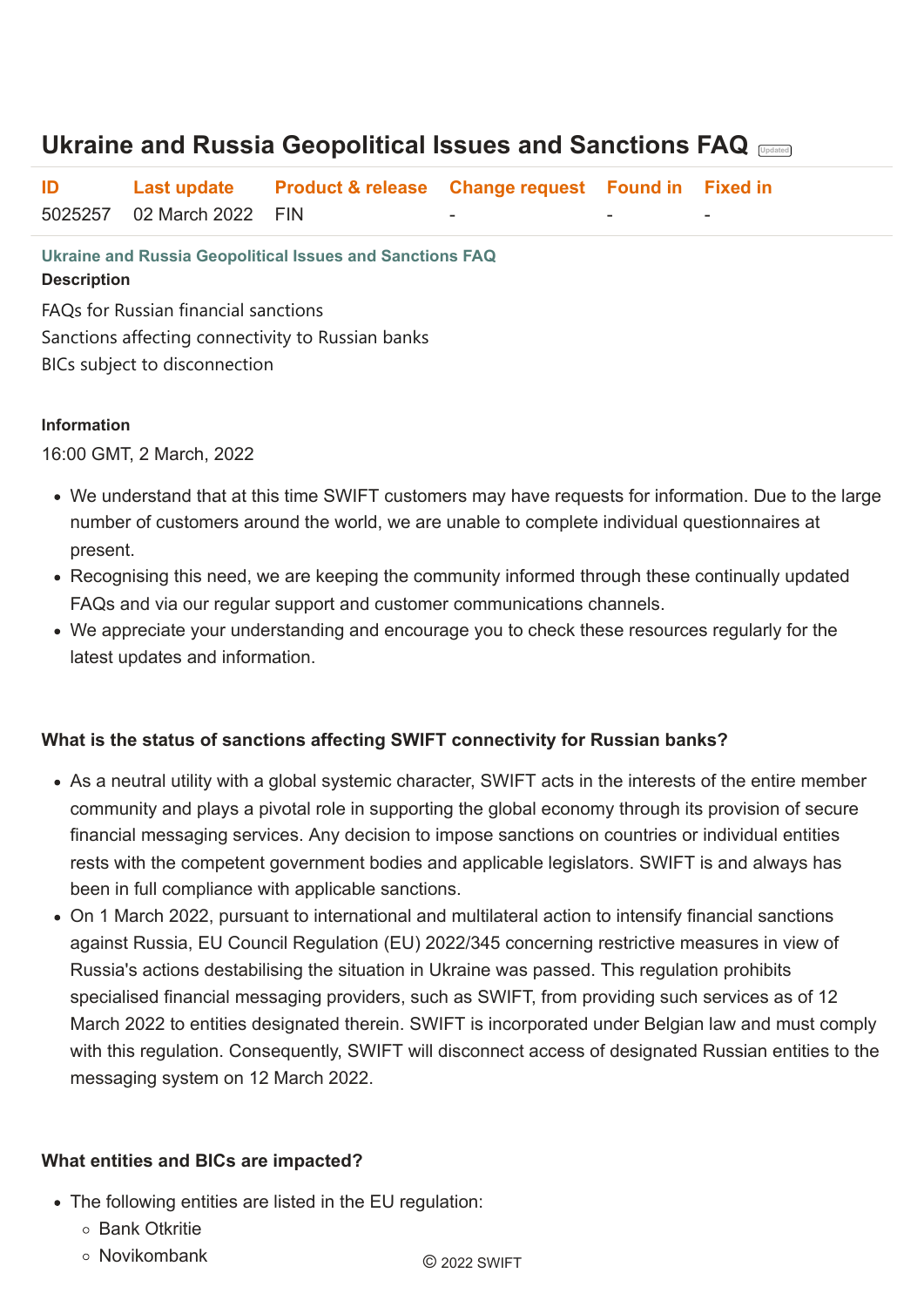**Ukraine and Russia Geopolitical Issues and Sanctions FAQ Description**

FAQs for Russian financial sanctions Sanctions affecting connectivity to Russian banks BICs subject to disconnection

#### **Information**

16:00 GMT, 2 March, 2022

- We understand that at this time SWIFT customers may have requests for information. Due to the large number of customers around the world, we are unable to complete individual questionnaires at present.
- Recognising this need, we are keeping the community informed through these continually updated FAQs and via our regular support and customer communications channels.
- We appreciate your understanding and encourage you to check these resources regularly for the latest updates and information.

#### **What is the status of sanctions affecting SWIFT connectivity for Russian banks?**

- As a neutral utility with a global systemic character, SWIFT acts in the interests of the entire member community and plays a pivotal role in supporting the global economy through its provision of secure financial messaging services. Any decision to impose sanctions on countries or individual entities rests with the competent government bodies and applicable legislators. SWIFT is and always has been in full compliance with applicable sanctions.
- On 1 March 2022, pursuant to international and multilateral action to intensify financial sanctions against Russia, EU Council Regulation (EU) 2022/345 concerning restrictive measures in view of Russia's actions destabilising the situation in Ukraine was passed. This regulation prohibits

specialised financial messaging providers, such as SWIFT, from providing such services as of 12 March 2022 to entities designated therein. SWIFT is incorporated under Belgian law and must comply with this regulation. Consequently, SWIFT will disconnect access of designated Russian entities to the messaging system on 12 March 2022.

#### **What entities and BICs are impacted?**

- The following entities are listed in the EU regulation:
	- Bank Otkritie
	- Novikombank © 2022 SWIFT

# **Ukraine and Russia Geopolitical Issues and Sanctions FAQ Updated**

| ID |                           | Last update Product & release Change request Found in Fixed in |  |  |
|----|---------------------------|----------------------------------------------------------------|--|--|
|    | 5025257 02 March 2022 FIN |                                                                |  |  |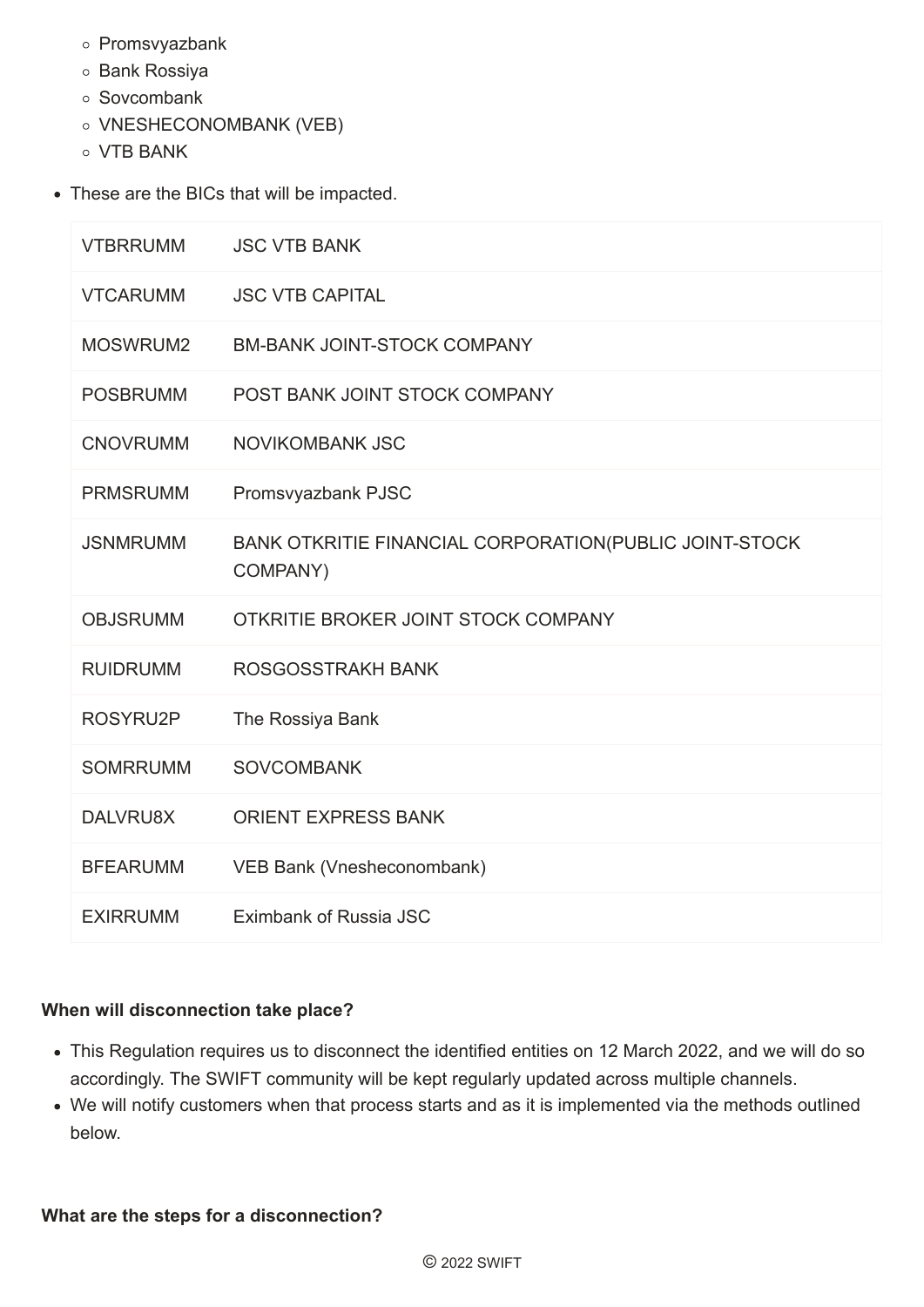- o Promsvyazbank
- o Bank Rossiya
- Sovcombank
- o VNESHECONOMBANK (VEB)
- VTB BANK
- These are the BICs that will be impacted.

| <b>VTBRRUMM</b> | <b>JSC VTB BANK</b>                                                |
|-----------------|--------------------------------------------------------------------|
| <b>VTCARUMM</b> | <b>JSC VTB CAPITAL</b>                                             |
| MOSWRUM2        | <b>BM-BANK JOINT-STOCK COMPANY</b>                                 |
| <b>POSBRUMM</b> | POST BANK JOINT STOCK COMPANY                                      |
| <b>CNOVRUMM</b> | <b>NOVIKOMBANK JSC</b>                                             |
| <b>PRMSRUMM</b> | Promsvyazbank PJSC                                                 |
| <b>JSNMRUMM</b> | BANK OTKRITIE FINANCIAL CORPORATION(PUBLIC JOINT-STOCK<br>COMPANY) |
|                 |                                                                    |
| <b>OBJSRUMM</b> | OTKRITIE BROKER JOINT STOCK COMPANY                                |
| <b>RUIDRUMM</b> | <b>ROSGOSSTRAKH BANK</b>                                           |
| ROSYRU2P        | The Rossiya Bank                                                   |
| <b>SOMRRUMM</b> | <b>SOVCOMBANK</b>                                                  |
| DALVRU8X        | <b>ORIENT EXPRESS BANK</b>                                         |
| <b>BFEARUMM</b> | VEB Bank (Vnesheconombank)                                         |

#### **When will disconnection take place?**

- This Regulation requires us to disconnect the identified entities on 12 March 2022, and we will do so accordingly. The SWIFT community will be kept regularly updated across multiple channels.
- We will notify customers when that process starts and as it is implemented via the methods outlined below.

**What are the steps for a disconnection?**

© 2022 SWIFT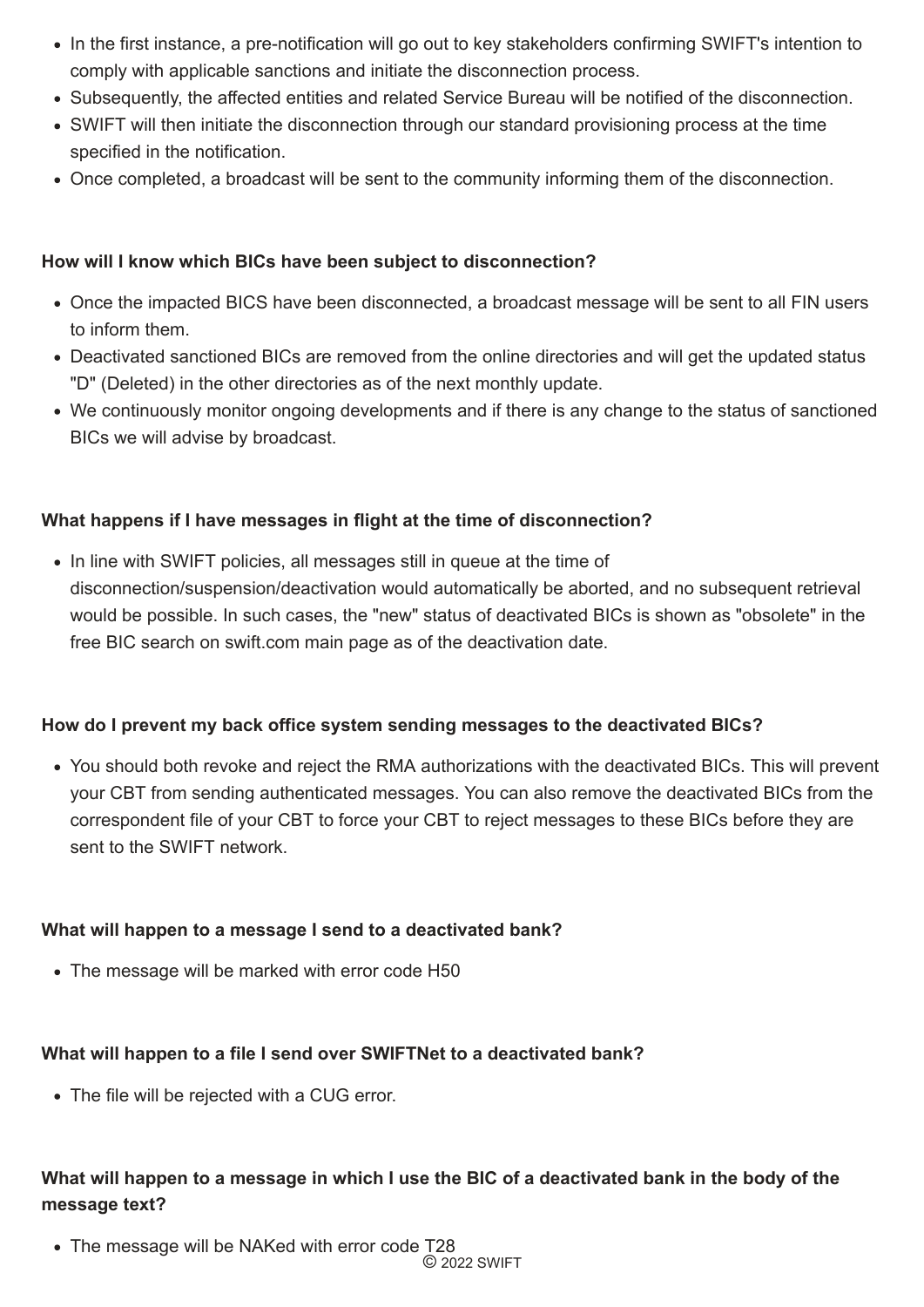- In the first instance, a pre-notification will go out to key stakeholders confirming SWIFT's intention to comply with applicable sanctions and initiate the disconnection process.
- Subsequently, the affected entities and related Service Bureau will be notified of the disconnection.
- SWIFT will then initiate the disconnection through our standard provisioning process at the time specified in the notification.
- Once completed, a broadcast will be sent to the community informing them of the disconnection.

#### **How will I know which BICs have been subject to disconnection?**

• In line with SWIFT policies, all messages still in queue at the time of disconnection/suspension/deactivation would automatically be aborted, and no subsequent retrieval would be possible. In such cases, the "new" status of deactivated BICs is shown as "obsolete" in the free BIC search on swift.com main page as of the deactivation date.

- Once the impacted BICS have been disconnected, a broadcast message will be sent to all FIN users to inform them.
- Deactivated sanctioned BICs are removed from the online directories and will get the updated status "D" (Deleted) in the other directories as of the next monthly update.
- We continuously monitor ongoing developments and if there is any change to the status of sanctioned BICs we will advise by broadcast.

#### **What happens if I have messages in flight at the time of disconnection?**

• The message will be NAKed with error code T28 © 2022 SWIFT

#### **How do I prevent my back office system sending messages to the deactivated BICs?**

You should both revoke and reject the RMA authorizations with the deactivated BICs. This will prevent your CBT from sending authenticated messages. You can also remove the deactivated BICs from the correspondent file of your CBT to force your CBT to reject messages to these BICs before they are sent to the SWIFT network.

#### **What will happen to a message I send to a deactivated bank?**

• The message will be marked with error code H50

#### **What will happen to a file I send over SWIFTNet to a deactivated bank?**

• The file will be rejected with a CUG error.

## **What will happen to a message in which I use the BIC of a deactivated bank in the body of the message text?**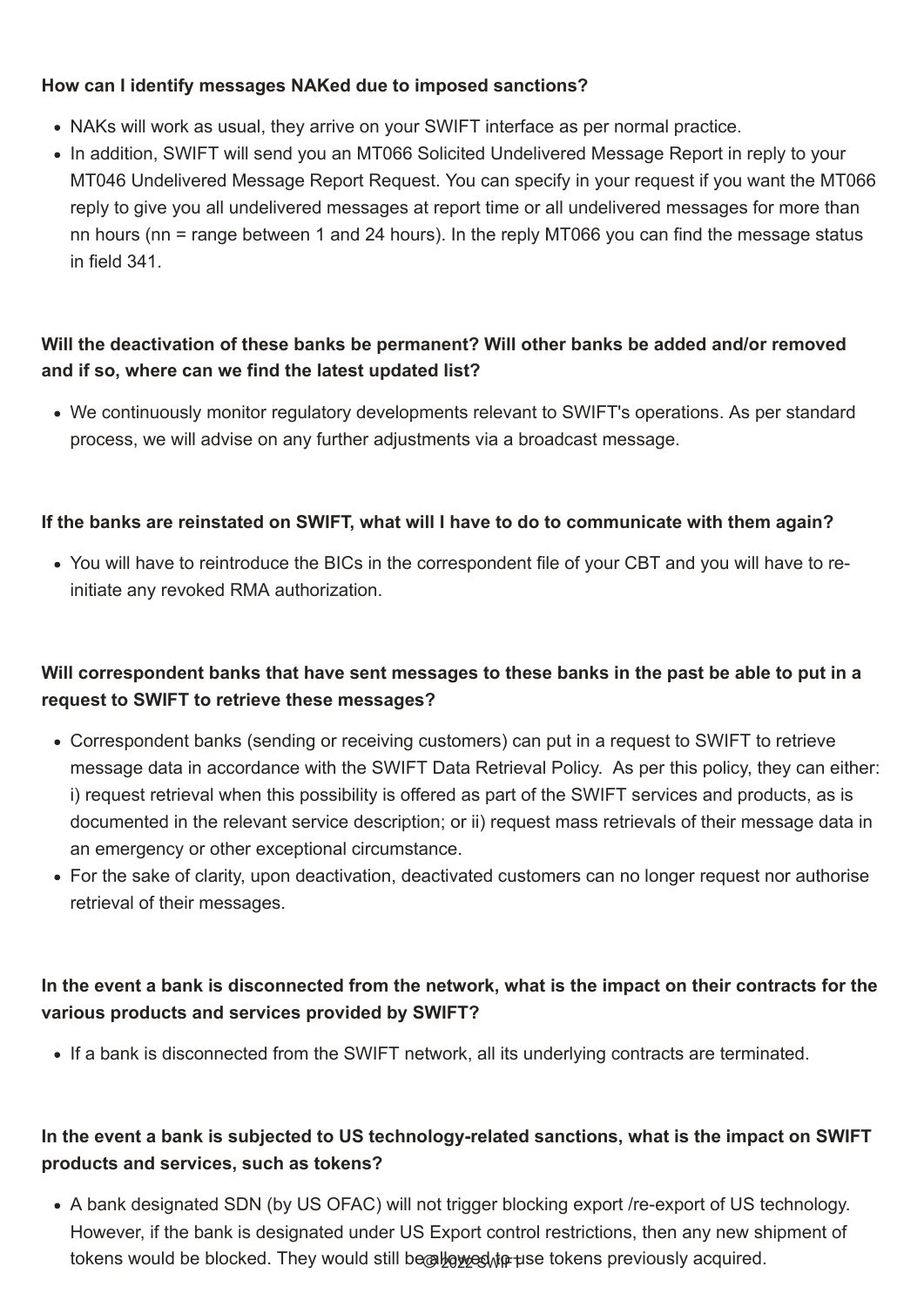#### **How can I identify messages NAKed due to imposed sanctions?**

- NAKs will work as usual, they arrive on your SWIFT interface as per normal practice.
- In addition, SWIFT will send you an MT066 Solicited Undelivered Message Report in reply to your MT046 Undelivered Message Report Request. You can specify in your request if you want the MT066 reply to give you all undelivered messages at report time or all undelivered messages for more than nn hours (nn = range between 1 and 24 hours). In the reply MT066 you can find the message status in field 341.

## **Will the deactivation of these banks be permanent? Will other banks be added and/or removed and if so, where can we find the latest updated list?**

We continuously monitor regulatory developments relevant to SWIFT's operations. As per standard process, we will advise on any further adjustments via a broadcast message.

#### **If the banks are reinstated on SWIFT, what will I have to do to communicate with them again?**

You will have to reintroduce the BICs in the correspondent file of your CBT and you will have to reinitiate any revoked RMA authorization.

A bank designated SDN (by US OFAC) will not trigger blocking export /re-export of US technology. However, if the bank is designated under US Export control restrictions, then any new shipment of tokens would be blocked. They would still be allowed to use tokens previously acquired.

## **Will correspondent banks that have sent messages to these banks in the past be able to put in a request to SWIFT to retrieve these messages?**

- Correspondent banks (sending or receiving customers) can put in a request to SWIFT to retrieve message data in accordance with the SWIFT Data Retrieval Policy. As per this policy, they can either: i) request retrieval when this possibility is offered as part of the SWIFT services and products, as is documented in the relevant service description; or ii) request mass retrievals of their message data in an emergency or other exceptional circumstance.
- For the sake of clarity, upon deactivation, deactivated customers can no longer request nor authorise retrieval of their messages.

#### **In the event a bank is disconnected from the network, what is the impact on their contracts for the**

**various products and services provided by SWIFT?**

• If a bank is disconnected from the SWIFT network, all its underlying contracts are terminated.

## **In the event a bank is subjected to US technology-related sanctions, what is the impact on SWIFT products and services, such as tokens?**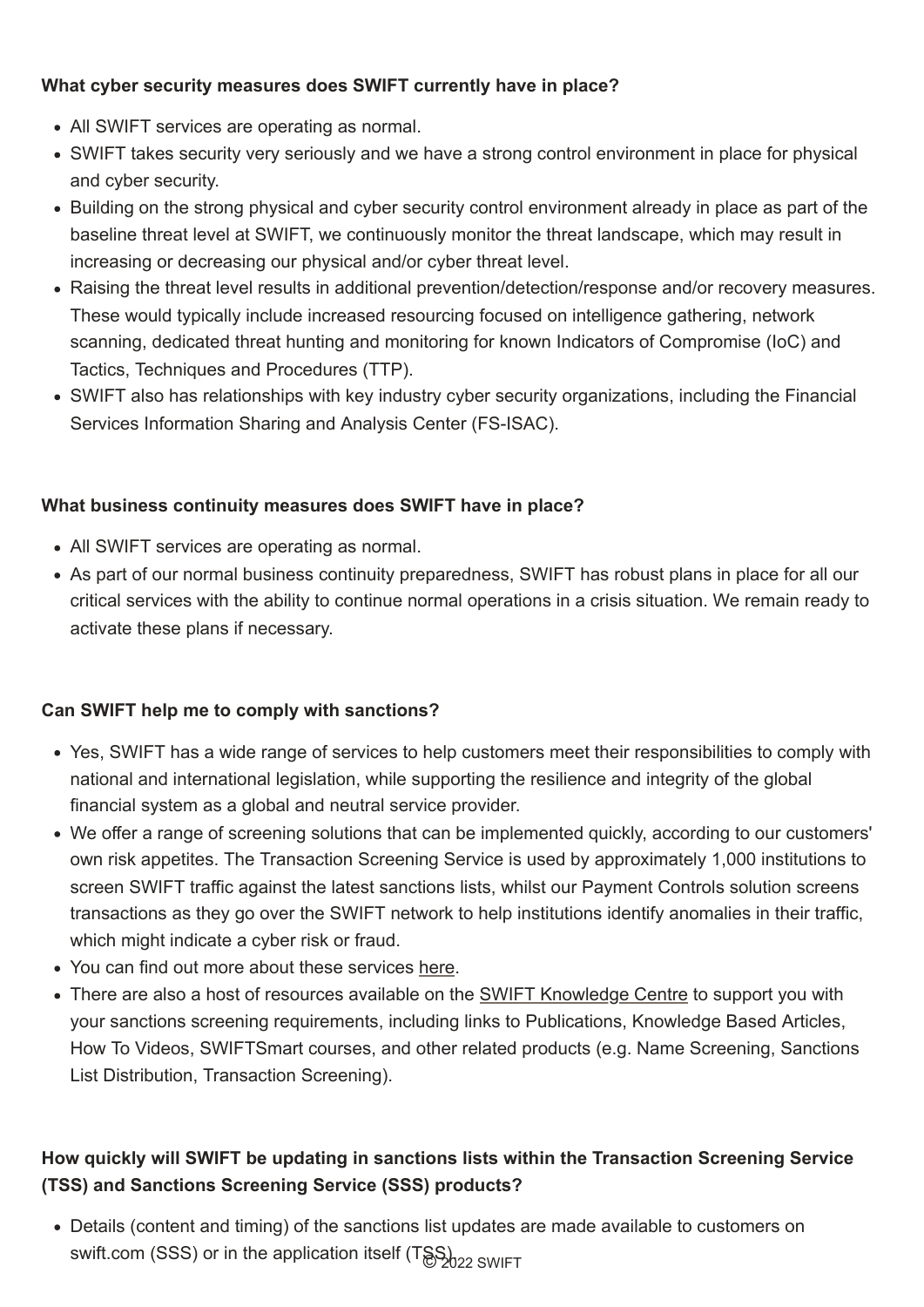## **What cyber security measures does SWIFT currently have in place?**

- All SWIFT services are operating as normal.
- SWIFT takes security very seriously and we have a strong control environment in place for physical and cyber security.
- Building on the strong physical and cyber security control environment already in place as part of the baseline threat level at SWIFT, we continuously monitor the threat landscape, which may result in increasing or decreasing our physical and/or cyber threat level.
- Raising the threat level results in additional prevention/detection/response and/or recovery measures. These would typically include increased resourcing focused on intelligence gathering, network scanning, dedicated threat hunting and monitoring for known Indicators of Compromise (IoC) and Tactics, Techniques and Procedures (TTP).
- SWIFT also has relationships with key industry cyber security organizations, including the Financial Services Information Sharing and Analysis Center (FS-ISAC).

### **What business continuity measures does SWIFT have in place?**

- All SWIFT services are operating as normal.
- As part of our normal business continuity preparedness, SWIFT has robust plans in place for all our critical services with the ability to continue normal operations in a crisis situation. We remain ready to activate these plans if necessary.

Details (content and timing) of the sanctions list updates are made available to customers on swift.com (SSS) or in the application itself (T&S)<sub>2022</sub> SWIFT

### **Can SWIFT help me to comply with sanctions?**

- Yes, SWIFT has a wide range of services to help customers meet their responsibilities to comply with national and international legislation, while supporting the resilience and integrity of the global financial system as a global and neutral service provider.
- We offer a range of screening solutions that can be implemented quickly, according to our customers' own risk appetites. The Transaction Screening Service is used by approximately 1,000 institutions to screen SWIFT traffic against the latest sanctions lists, whilst our Payment Controls solution screens transactions as they go over the SWIFT network to help institutions identify anomalies in their traffic, which might indicate a cyber risk or fraud.
- You can find out more about these services [here.](https://www.swift.com/our-solutions/compliance-and-shared-services/financial-crime-compliance/sanctions-solutions)
- There are also a host of resources available on the **[SWIFT Knowledge Centre](https://www2.swift.com/knowledgecentre/products/Sanctions%20Screening)** to support you with your sanctions screening requirements, including links to Publications, Knowledge Based Articles, How To Videos, SWIFTSmart courses, and other related products (e.g. Name Screening, Sanctions List Distribution, Transaction Screening).

## **How quickly will SWIFT be updating in sanctions lists within the Transaction Screening Service (TSS) and Sanctions Screening Service (SSS) products?**